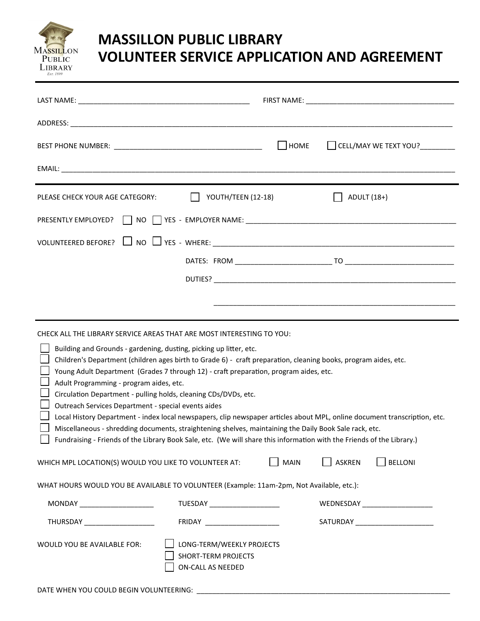

## **MASSILLON PUBLIC LIBRARY VOLUNTEER SERVICE APPLICATION AND AGREEMENT**

|                                                                                                                                                                                                                                                                                                                                                                                                                                                                                                                                                                                                                                                                                                                                                                                                                                                                                               |                                                                                     | $\Box$ HOME |               | CELL/MAY WE TEXT YOU?            |
|-----------------------------------------------------------------------------------------------------------------------------------------------------------------------------------------------------------------------------------------------------------------------------------------------------------------------------------------------------------------------------------------------------------------------------------------------------------------------------------------------------------------------------------------------------------------------------------------------------------------------------------------------------------------------------------------------------------------------------------------------------------------------------------------------------------------------------------------------------------------------------------------------|-------------------------------------------------------------------------------------|-------------|---------------|----------------------------------|
|                                                                                                                                                                                                                                                                                                                                                                                                                                                                                                                                                                                                                                                                                                                                                                                                                                                                                               |                                                                                     |             |               |                                  |
| PLEASE CHECK YOUR AGE CATEGORY:                                                                                                                                                                                                                                                                                                                                                                                                                                                                                                                                                                                                                                                                                                                                                                                                                                                               | YOUTH/TEEN (12-18)                                                                  |             | ADULT (18+)   |                                  |
|                                                                                                                                                                                                                                                                                                                                                                                                                                                                                                                                                                                                                                                                                                                                                                                                                                                                                               |                                                                                     |             |               |                                  |
|                                                                                                                                                                                                                                                                                                                                                                                                                                                                                                                                                                                                                                                                                                                                                                                                                                                                                               |                                                                                     |             |               |                                  |
|                                                                                                                                                                                                                                                                                                                                                                                                                                                                                                                                                                                                                                                                                                                                                                                                                                                                                               |                                                                                     |             |               |                                  |
|                                                                                                                                                                                                                                                                                                                                                                                                                                                                                                                                                                                                                                                                                                                                                                                                                                                                                               |                                                                                     |             |               |                                  |
|                                                                                                                                                                                                                                                                                                                                                                                                                                                                                                                                                                                                                                                                                                                                                                                                                                                                                               |                                                                                     |             |               |                                  |
|                                                                                                                                                                                                                                                                                                                                                                                                                                                                                                                                                                                                                                                                                                                                                                                                                                                                                               |                                                                                     |             |               |                                  |
| CHECK ALL THE LIBRARY SERVICE AREAS THAT ARE MOST INTERESTING TO YOU:<br>Building and Grounds - gardening, dusting, picking up litter, etc.<br>Children's Department (children ages birth to Grade 6) - craft preparation, cleaning books, program aides, etc.<br>Young Adult Department (Grades 7 through 12) - craft preparation, program aides, etc.<br>Adult Programming - program aides, etc.<br>Circulation Department - pulling holds, cleaning CDs/DVDs, etc.<br>Outreach Services Department - special events aides<br>Local History Department - index local newspapers, clip newspaper articles about MPL, online document transcription, etc.<br>Miscellaneous - shredding documents, straightening shelves, maintaining the Daily Book Sale rack, etc.<br>Fundraising - Friends of the Library Book Sale, etc. (We will share this information with the Friends of the Library.) |                                                                                     |             |               |                                  |
| WHICH MPL LOCATION(S) WOULD YOU LIKE TO VOLUNTEER AT:                                                                                                                                                                                                                                                                                                                                                                                                                                                                                                                                                                                                                                                                                                                                                                                                                                         |                                                                                     | <b>MAIN</b> | <b>ASKREN</b> | <b>BELLONI</b>                   |
| WHAT HOURS WOULD YOU BE AVAILABLE TO VOLUNTEER (Example: 11am-2pm, Not Available, etc.):                                                                                                                                                                                                                                                                                                                                                                                                                                                                                                                                                                                                                                                                                                                                                                                                      |                                                                                     |             |               |                                  |
| MONDAY ______________________                                                                                                                                                                                                                                                                                                                                                                                                                                                                                                                                                                                                                                                                                                                                                                                                                                                                 | TUESDAY ______________________                                                      |             |               | WEDNESDAY ______________________ |
| THURSDAY _______________________                                                                                                                                                                                                                                                                                                                                                                                                                                                                                                                                                                                                                                                                                                                                                                                                                                                              |                                                                                     |             |               |                                  |
| WOULD YOU BE AVAILABLE FOR:                                                                                                                                                                                                                                                                                                                                                                                                                                                                                                                                                                                                                                                                                                                                                                                                                                                                   | LONG-TERM/WEEKLY PROJECTS<br><b>SHORT-TERM PROJECTS</b><br><b>ON-CALL AS NEEDED</b> |             |               |                                  |